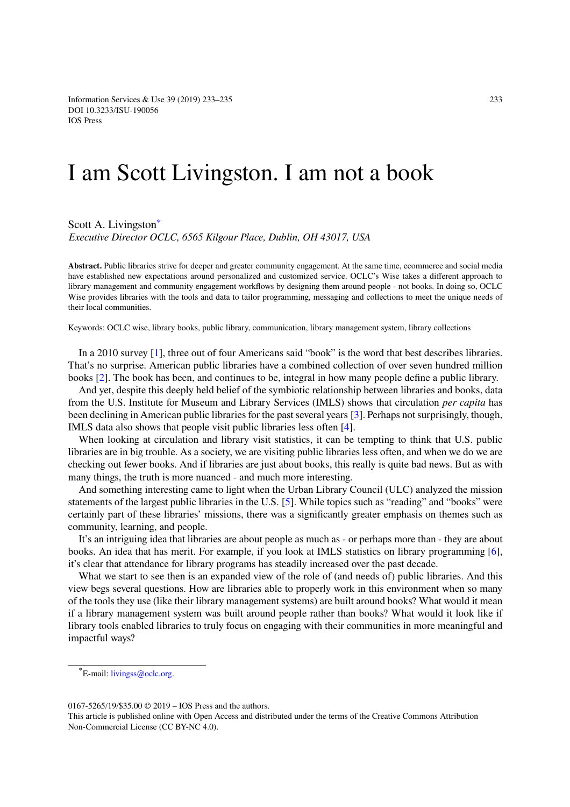## I [am Scot](http://dx.doi.org/10.3233/ISU-190056)t Livingston. I am not a book

## Scott A. Livingston<sup>∗</sup> *Executive Director OCLC, 6565 Kilgour Place, Dublin, OH 43017, USA*

**Abstract.** Public libraries [s](#page-0-0)trive for deeper and greater community engagement. At the same time, ecommerce and social media have established new expectations around personalized and customized service. OCLC's Wise takes a different approach to library management and community engagement workflows by designing them around people - not books. In doing so, OCLC Wise provides libraries with the tools and data to tailor programming, messaging and collections to meet the unique needs of their local communities.

Keywords: OCLC wise, library books, public library, communication, library management system, library collections

In a 2010 survey [1], three out of four Americans said "book" is the word that best describes libraries. That's no surprise. American public libraries have a combined collection of over seven hundred million books [2]. The book has been, and continues to be, integral in how many people define a public library.

And yet, despite this deeply held belief of the symbiotic relationship between libraries and books, data from the U.S. Institute for Museum and Library Services (IMLS) shows that circulation *per capita* has been declining in American public libraries for the past several years [3]. Perhaps not surprisingly, though, IMLS data also shows that people visit public libraries less often [4].

When looking at circulation and library visit statistics, it can be tempting to think that U.S. public libraries are in big trouble. As a society, we are visiting public libraries less often, and when we do we are checking out fewer books. And if libraries are just about books, this really is quite bad news. But as with many things, the truth is more nuanced - and much more interesting.

And something interesting came to light when the Urban Library Council (ULC) analyzed the mission statements of the largest public libraries in the U.S. [5]. While topics such as "reading" and "books" were certainly part of these libraries' missions, there was a significantly greater emphasis on themes such as community, learning, and people.

It's an intriguing idea that libraries are about people as much as - or perhaps more than - they are about books. An idea that has merit. For example, if you look at IMLS statistics on library programming [6], it's clear that attendance for library programs has steadily increased over the past decade.

What we start to see then is an expanded view of the role of (and needs of) public libraries. And this view begs several questions. How are libraries able to properly work in this environment when so many of the tools they use (like their library management systems) are built around books? What would it mean if a library management system was built around people rather than books? What would it look like if library tools enabled libraries to truly focus on engaging with their communities in more meaningful and impactful ways?

\*E-mail: livingss@oclc.org.

0167-5265/19/\$35.00 © 2019 – IOS Press and the authors.

<span id="page-0-0"></span>This article is published online with Open Access and distributed under the terms of the Creative Commons Attribution Non-Comm[ercial License \(CC](mailto:livingss@oclc.org) BY-NC 4.0).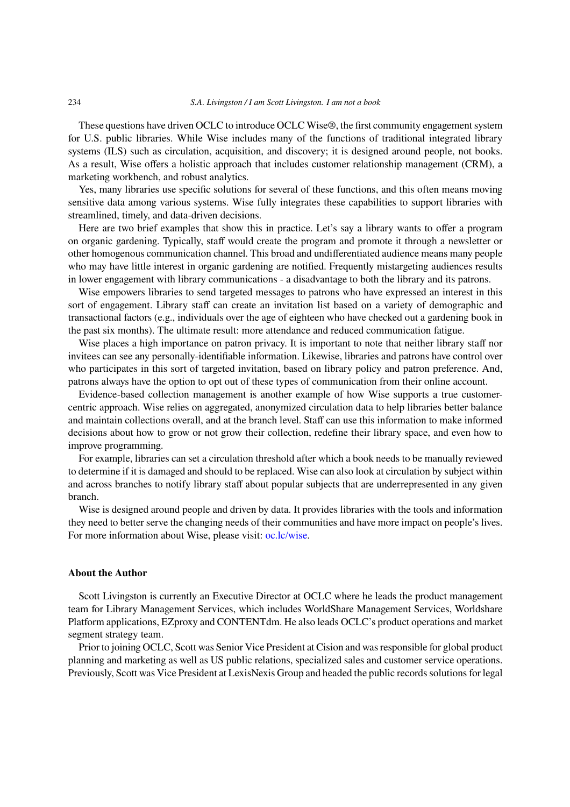These questions have driven OCLC to introduce OCLC Wise®, the first community engagement system for U.S. public libraries. While Wise includes many of the functions of traditional integrated library systems (ILS) such as circulation, acquisition, and discovery; it is designed around people, not books. As a result, Wise offers a holistic approach that includes customer relationship management (CRM), a marketing workbench, and robust analytics.

Yes, many libraries use specific solutions for several of these functions, and this often means moving sensitive data among various systems. Wise fully integrates these capabilities to support libraries with streamlined, timely, and data-driven decisions.

Here are two brief examples that show this in practice. Let's say a library wants to offer a program on organic gardening. Typically, staff would create the program and promote it through a newsletter or other homogenous communication channel. This broad and undifferentiated audience means many people who may have little interest in organic gardening are notified. Frequently mistargeting audiences results in lower engagement with library communications - a disadvantage to both the library and its patrons.

Wise empowers libraries to send targeted messages to patrons who have expressed an interest in this sort of engagement. Library staff can create an invitation list based on a variety of demographic and transactional factors (e.g., individuals over the age of eighteen who have checked out a gardening book in the past six months). The ultimate result: more attendance and reduced communication fatigue.

Wise places a high importance on patron privacy. It is important to note that neither library staff nor invitees can see any personally-identifiable information. Likewise, libraries and patrons have control over who participates in this sort of targeted invitation, based on library policy and patron preference. And, patrons always have the option to opt out of these types of communication from their online account.

Evidence-based collection management is another example of how Wise supports a true customercentric approach. Wise relies on aggregated, anonymized circulation data to help libraries better balance and maintain collections overall, and at the branch level. Staff can use this information to make informed decisions about how to grow or not grow their collection, redefine their library space, and even how to improve programming.

For example, libraries can set a circulation threshold after which a book needs to be manually reviewed to determine if it is damaged and should to be replaced. Wise can also look at circulation by subject within and across branches to notify library staff about popular subjects that are underrepresented in any given branch.

Wise is designed around people and driven by data. It provides libraries with the tools and information they need to better serve the changing needs of their communities and have more impact on people's lives. For more information about Wise, please visit: oc.lc/wise.

## **About the Author**

Scott Livingston is currently an Executive Director at OCLC where he leads the product management team for Library Management Services, which includes WorldShare Management Services, Worldshare Platform applications, EZproxy and CONTENTdm. He also leads OCLC's product operations and market segment strategy team.

Prior to joining OCLC, Scott was Senior Vice President at Cision and was responsible for global product planning and marketing as well as US public relations, specialized sales and customer service operations. Previously, Scott was Vice President at LexisNexis Group and headed the public records solutions for legal